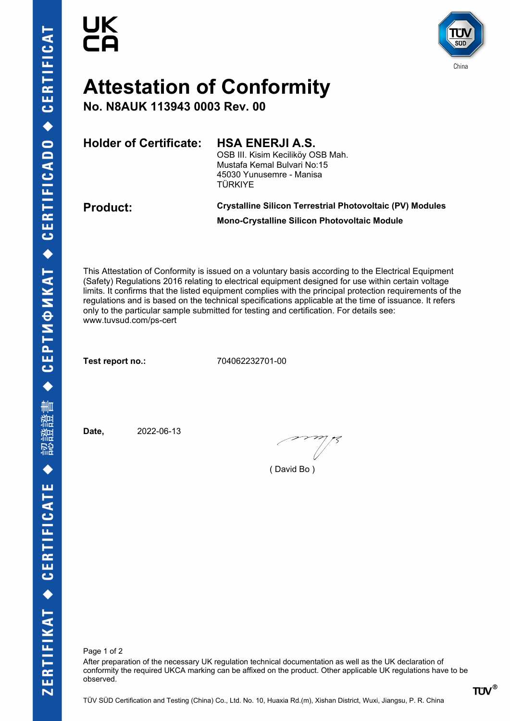



# **Attestation of Conformity**

**No. N8AUK 113943 0003 Rev. 00**

**Holder of Certificate: HSA ENERJI A.S.**

OSB III. Kisim Keciliköy OSB Mah. Mustafa Kemal Bulvari No:15 45030 Yunusemre - Manisa TÜRKIYE

### **Product: Crystalline Silicon Terrestrial Photovoltaic (PV) Modules Mono-Crystalline Silicon Photovoltaic Module**

This Attestation of Conformity is issued on a voluntary basis according to the Electrical Equipment (Safety) Regulations 2016 relating to electrical equipment designed for use within certain voltage limits. It confirms that the listed equipment complies with the principal protection requirements of the regulations and is based on the technical specifications applicable at the time of issuance. It refers only to the particular sample submitted for testing and certification. For details see: www.tuvsud.com/ps-cert

**Test report no.:** 704062232701-00

**Date,** 2022-06-13

( David Bo )

Page 1 of 2

After preparation of the necessary UK regulation technical documentation as well as the UK declaration of conformity the required UKCA marking can be affixed on the product. Other applicable UK regulations have to be observed.